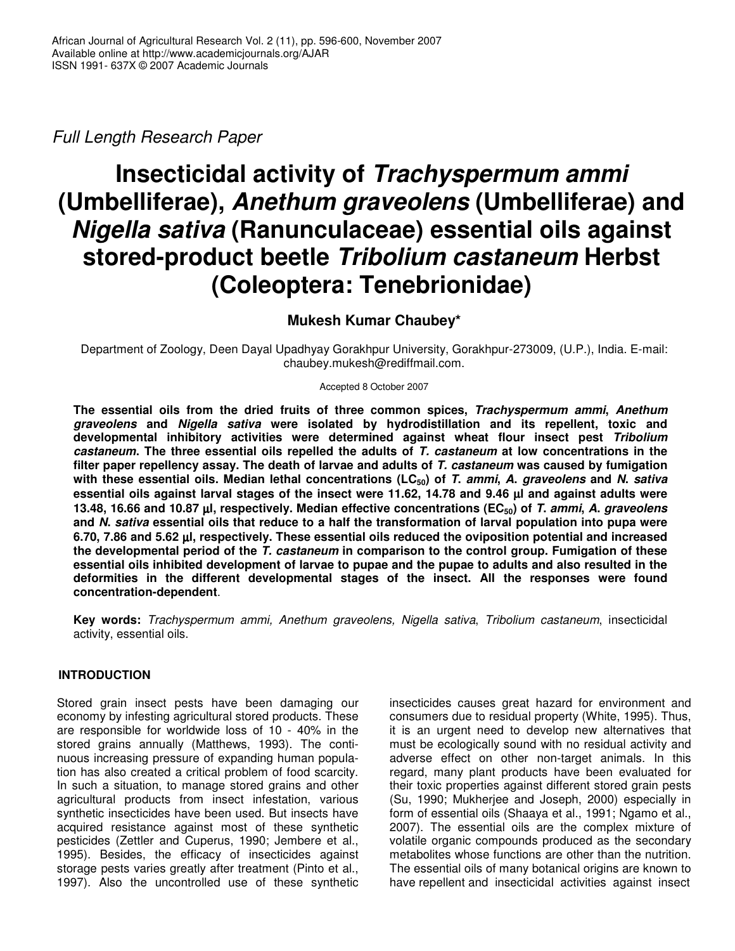*Full Length Research Paper*

# **Insecticidal activity of** *Trachyspermum ammi* **(Umbelliferae),** *Anethum graveolens* **(Umbelliferae) and** *Nigella sativa* **(Ranunculaceae) essential oils against stored-product beetle** *Tribolium castaneum* **Herbst (Coleoptera: Tenebrionidae)**

# **Mukesh Kumar Chaubey\***

Department of Zoology, Deen Dayal Upadhyay Gorakhpur University, Gorakhpur-273009, (U.P.), India. E-mail: chaubey.mukesh@rediffmail.com.

Accepted 8 October 2007

**The essential oils from the dried fruits of three common spices,** *Trachyspermum ammi***,** *Anethum graveolens* **and** *Nigella sativa* **were isolated by hydrodistillation and its repellent, toxic and developmental inhibitory activities were determined against wheat flour insect pest** *Tribolium castaneum***. The three essential oils repelled the adults of** *T. castaneum* **at low concentrations in the filter paper repellency assay. The death of larvae and adults of** *T. castaneum* **was caused by fumigation** with these essential oils. Median lethal concentrations (LC $_{50}$ ) of T. ammi, A. graveolens and N. sativa essential oils against larval stages of the insect were 11.62, 14.78 and 9.46 µl and against adults were 13.48, 16.66 and 10.87 µl, respectively. Median effective concentrations (EC<sub>50</sub>) of T. ammi, A. graveolens and N. sativa essential oils that reduce to a half the transformation of larval population into pupa were **6.70, 7.86 and 5.62** µ**l, respectively. These essential oils reduced the oviposition potential and increased the developmental period of the** *T. castaneum* **in comparison to the control group. Fumigation of these** essential oils inhibited development of larvae to pupae and the pupae to adults and also resulted in the **deformities in the different developmental stages of the insect. All the responses were found concentration-dependent**.

**Key words:** *Trachyspermum ammi, Anethum graveolens, Nigella sativa*, *Tribolium castaneum*, insecticidal activity, essential oils.

# **INTRODUCTION**

Stored grain insect pests have been damaging our economy by infesting agricultural stored products. These are responsible for worldwide loss of 10 - 40% in the stored grains annually (Matthews, 1993). The continuous increasing pressure of expanding human population has also created a critical problem of food scarcity. In such a situation, to manage stored grains and other agricultural products from insect infestation, various synthetic insecticides have been used. But insects have acquired resistance against most of these synthetic pesticides (Zettler and Cuperus, 1990; Jembere et al., 1995). Besides, the efficacy of insecticides against storage pests varies greatly after treatment (Pinto et al., 1997). Also the uncontrolled use of these synthetic insecticides causes great hazard for environment and consumers due to residual property (White, 1995). Thus, it is an urgent need to develop new alternatives that must be ecologically sound with no residual activity and adverse effect on other non-target animals. In this regard, many plant products have been evaluated for their toxic properties against different stored grain pests (Su, 1990; Mukherjee and Joseph, 2000) especially in form of essential oils (Shaaya et al., 1991; Ngamo et al., 2007). The essential oils are the complex mixture of volatile organic compounds produced as the secondary metabolites whose functions are other than the nutrition. The essential oils of many botanical origins are known to have repellent and insecticidal activities against insect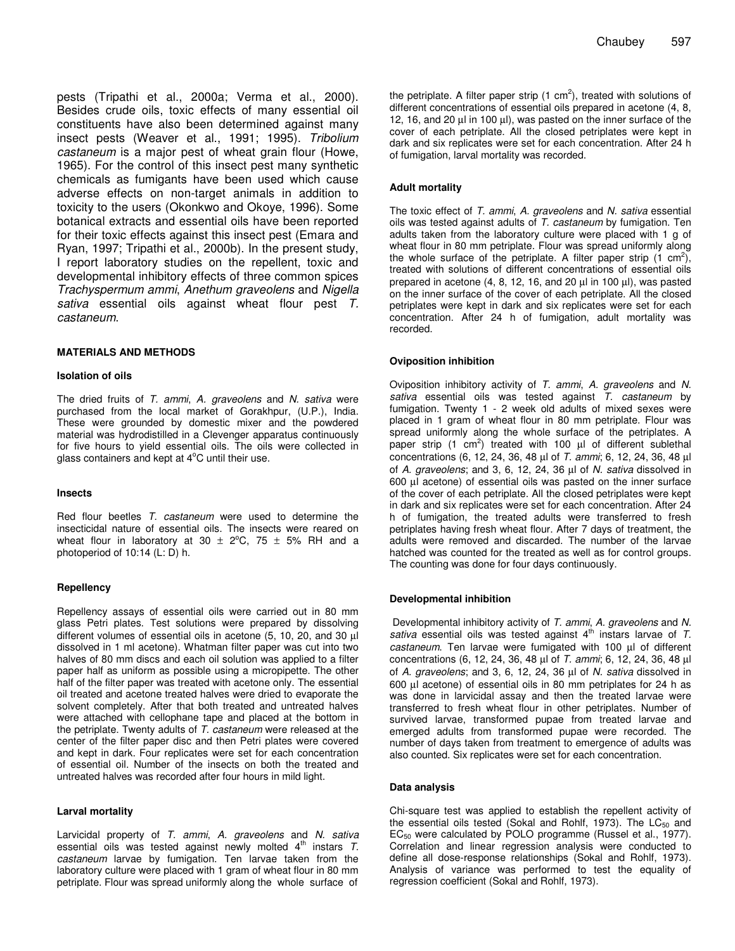pests (Tripathi et al., 2000a; Verma et al., 2000). Besides crude oils, toxic effects of many essential oil constituents have also been determined against many insect pests (Weaver et al., 1991; 1995). *Tribolium castaneum* is a major pest of wheat grain flour (Howe, 1965). For the control of this insect pest many synthetic chemicals as fumigants have been used which cause adverse effects on non-target animals in addition to toxicity to the users (Okonkwo and Okoye, 1996). Some botanical extracts and essential oils have been reported for their toxic effects against this insect pest (Emara and Ryan, 1997; Tripathi et al., 2000b). In the present study, I report laboratory studies on the repellent, toxic and developmental inhibitory effects of three common spices *Trachyspermum ammi*, *Anethum graveolens* and *Nigella sativa* essential oils against wheat flour pest *T. castaneum*.

#### **MATERIALS AND METHODS**

#### **Isolation of oils**

The dried fruits of *T. ammi*, *A. graveolens* and *N. sativa* were purchased from the local market of Gorakhpur, (U.P.), India. These were grounded by domestic mixer and the powdered material was hydrodistilled in a Clevenger apparatus continuously for five hours to yield essential oils. The oils were collected in glass containers and kept at 4°C until their use.

#### **Insects**

Red flour beetles *T. castaneum* were used to determine the insecticidal nature of essential oils. The insects were reared on wheat flour in laboratory at 30  $\pm$  2°C, 75  $\pm$  5% RH and a photoperiod of 10:14 (L: D) h.

#### **Repellency**

Repellency assays of essential oils were carried out in 80 mm glass Petri plates. Test solutions were prepared by dissolving different volumes of essential oils in acetone (5, 10, 20, and 30 µl dissolved in 1 ml acetone). Whatman filter paper was cut into two halves of 80 mm discs and each oil solution was applied to a filter paper half as uniform as possible using a micropipette. The other half of the filter paper was treated with acetone only. The essential oil treated and acetone treated halves were dried to evaporate the solvent completely. After that both treated and untreated halves were attached with cellophane tape and placed at the bottom in the petriplate. Twenty adults of *T. castaneum* were released at the center of the filter paper disc and then Petri plates were covered and kept in dark. Four replicates were set for each concentration of essential oil. Number of the insects on both the treated and untreated halves was recorded after four hours in mild light.

#### **Larval mortality**

Larvicidal property of *T. ammi*, *A. graveolens* and *N. sativa* essential oils was tested against newly molted 4<sup>th</sup> instars T. *castaneum* larvae by fumigation. Ten larvae taken from the laboratory culture were placed with 1 gram of wheat flour in 80 mm petriplate. Flour was spread uniformly along the whole surface of

the petriplate. A filter paper strip (1  $cm<sup>2</sup>$ ), treated with solutions of different concentrations of essential oils prepared in acetone (4, 8, 12, 16, and 20  $\mu$ l in 100  $\mu$ l), was pasted on the inner surface of the cover of each petriplate. All the closed petriplates were kept in dark and six replicates were set for each concentration. After 24 h of fumigation, larval mortality was recorded.

#### **Adult mortality**

The toxic effect of *T. ammi*, *A. graveolens* and *N. sativa* essential oils was tested against adults of *T. castaneum* by fumigation. Ten adults taken from the laboratory culture were placed with 1 g of wheat flour in 80 mm petriplate. Flour was spread uniformly along the whole surface of the petriplate. A filter paper strip  $(1 \text{ cm}^2)$ , treated with solutions of different concentrations of essential oils prepared in acetone  $(4, 8, 12, 16,$  and  $20 \mu$  in  $100 \mu$ ), was pasted on the inner surface of the cover of each petriplate. All the closed petriplates were kept in dark and six replicates were set for each concentration. After 24 h of fumigation, adult mortality was recorded.

#### **Oviposition inhibition**

Oviposition inhibitory activity of *T. ammi*, *A. graveolens* and *N. sativa* essential oils was tested against *T. castaneum* by fumigation. Twenty 1 - 2 week old adults of mixed sexes were placed in 1 gram of wheat flour in 80 mm petriplate. Flour was spread uniformly along the whole surface of the petriplates. A paper strip (1 cm<sup>2</sup>) treated with 100  $\mu$ l of different sublethal concentrations (6, 12, 24, 36, 48 µl of *T. ammi*; 6, 12, 24, 36, 48 µl of *A. graveolens*; and 3, 6, 12, 24, 36 µl of *N. sativa* dissolved in 600 µl acetone) of essential oils was pasted on the inner surface of the cover of each petriplate. All the closed petriplates were kept in dark and six replicates were set for each concentration. After 24 h of fumigation, the treated adults were transferred to fresh petriplates having fresh wheat flour. After 7 days of treatment, the adults were removed and discarded. The number of the larvae hatched was counted for the treated as well as for control groups. The counting was done for four days continuously.

#### **Developmental inhibition**

Developmental inhibitory activity of *T. ammi*, *A. graveolens* and *N.* sativa essential oils was tested against 4<sup>th</sup> instars larvae of *T*. *castaneum*. Ten larvae were fumigated with 100 µl of different concentrations (6, 12, 24, 36, 48 µl of *T. ammi*; 6, 12, 24, 36, 48 µl of *A. graveolens*; and 3, 6, 12, 24, 36 µl of *N. sativa* dissolved in 600 µl acetone) of essential oils in 80 mm petriplates for 24 h as was done in larvicidal assay and then the treated larvae were transferred to fresh wheat flour in other petriplates. Number of survived larvae, transformed pupae from treated larvae and emerged adults from transformed pupae were recorded. The number of days taken from treatment to emergence of adults was also counted. Six replicates were set for each concentration.

#### **Data analysis**

Chi-square test was applied to establish the repellent activity of the essential oils tested (Sokal and Rohlf, 1973). The  $LC_{50}$  and EC<sub>50</sub> were calculated by POLO programme (Russel et al., 1977). Correlation and linear regression analysis were conducted to define all dose-response relationships (Sokal and Rohlf, 1973). Analysis of variance was performed to test the equality of regression coefficient (Sokal and Rohlf, 1973).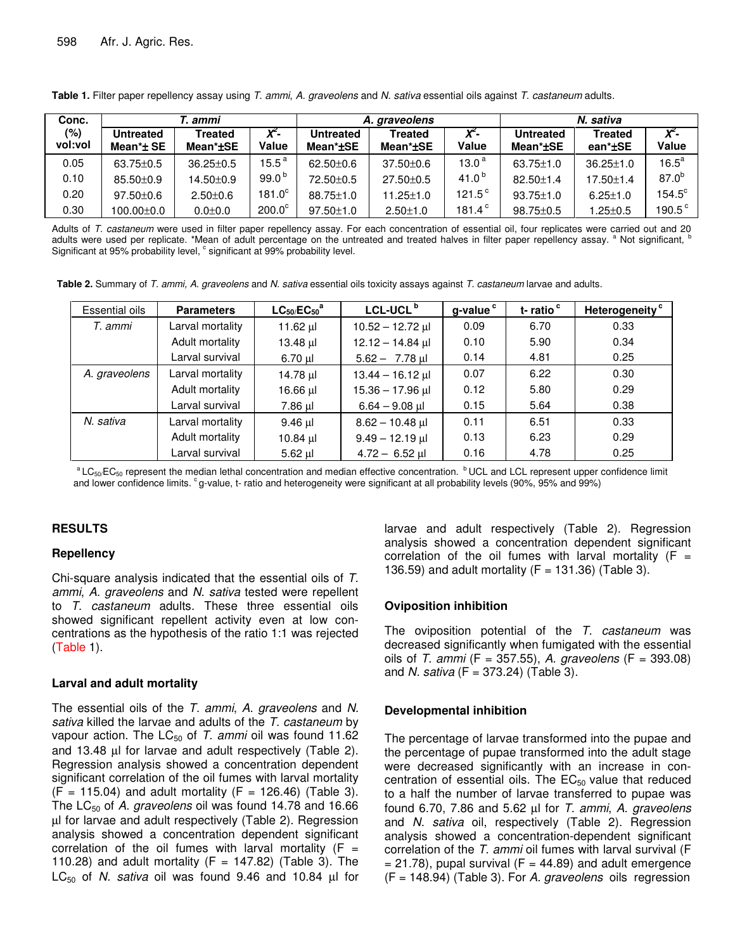| Conc.          | Г. ammi                                  |                            |                   | A. graveolens                |                            |                           | N. sativa                    |                           |                  |
|----------------|------------------------------------------|----------------------------|-------------------|------------------------------|----------------------------|---------------------------|------------------------------|---------------------------|------------------|
| (%)<br>vol:vol | <b>Untreated</b><br>Mean $^{\star}$ ± SE | <b>Treated</b><br>Mean*±SE | $X^2$ -<br>Value  | <b>Untreated</b><br>Mean*±SE | <b>Treated</b><br>Mean*±SE | Χ <sup>2</sup> -<br>Value | <b>Untreated</b><br>Mean*±SE | <b>Treated</b><br>ean*±SE | $X^2$ -<br>Value |
| 0.05           | $63.75 \pm 0.5$                          | $36.25 \pm 0.5$            | $15.5^{\text{a}}$ | $62.50 \pm 0.6$              | $37.50 \pm 0.6$            | 13.0 <sup>4</sup>         | $63.75 \pm 1.0$              | $36.25 \pm 1.0$           | $16.5^a$         |
| 0.10           | $85.50 \pm 0.9$                          | $14.50 + 0.9$              | 99.0 $b$          | 72.50 ± 0.5                  | $27.50 \pm 0.5$            | 41.0 <sup>b</sup>         | $82.50 \pm 1.4$              | $17.50 \pm 1.4$           | $87.0^{b}$       |
| 0.20           | $97.50 \pm 0.6$                          | $2.50 \pm 0.6$             | $181.0^\circ$     | $88.75 \pm 1.0$              | $11.25 \pm 1.0$            | $121.5^{\circ}$           | $93.75 \pm 1.0$              | $6.25 \pm 1.0$            | $154.5^\circ$    |
| 0.30           | $100.00 \pm 0.0$                         | $0.0 \pm 0.0$              | $200.0^\circ$     | $97.50 \pm 1.0$              | $2.50 \pm 1.0$             | 181.4 $^{\circ}$          | $98.75 \pm 0.5$              | $.25 \pm 0.5$             | $190.5^{\circ}$  |

**Table 1.** Filter paper repellency assay using *T*. *ammi*, *A. graveolens* and *N. sativa* essential oils against *T. castaneum* adults.

Adults of *T. castaneum* were used in filter paper repellency assay. For each concentration of essential oil, four replicates were carried out and 20 adults were used per replicate. \*Mean of adult percentage on the untreated and treated halves in filter paper repellency assay. <sup>a</sup> Not significant, b Significant at 95% probability level, <sup>c</sup> significant at 99% probability level.

**Table 2.** Summary of *T. ammi, A. graveolens* and *N. sativa* essential oils toxicity assays against *T. castaneum* larvae and adults.

| Essential oils | <b>Parameters</b> | $LC_{50}/EC_{50}$ <sup>a</sup> | LCL-UCL <sup>b</sup> | g-value <sup>c</sup> | t-ratio <sup>c</sup> | Heterogeneity <sup>c</sup> |
|----------------|-------------------|--------------------------------|----------------------|----------------------|----------------------|----------------------------|
| T. ammi        | Larval mortality  |                                | $10.52 - 12.72$ µl   | 0.09                 | 6.70                 | 0.33                       |
|                | Adult mortality   | $13.48 \mu$                    | $12.12 - 14.84$ µl   | 0.10                 | 5.90                 | 0.34                       |
|                | Larval survival   | 6.70 µl                        | $5.62 - 7.78$ ul     | 0.14                 | 4.81                 | 0.25                       |
| A. graveolens  | Larval mortality  | 14.78 µl                       | $13.44 - 16.12$ µl   | 0.07                 | 6.22                 | 0.30                       |
|                | Adult mortality   | 16.66 ul                       | $15.36 - 17.96$ µ    | 0.12                 | 5.80                 | 0.29                       |
|                | Larval survival   | 7.86 µl                        | $6.64 - 9.08$ µ      | 0.15                 | 5.64                 | 0.38                       |
| N. sativa      | Larval mortality  | $9.46$ µ                       | $8.62 - 10.48$ µ     | 0.11                 | 6.51                 | 0.33                       |
|                | Adult mortality   | 10.84 $\mu$                    | $9.49 - 12.19$ µ     | 0.13                 | 6.23                 | 0.29                       |
|                | Larval survival   | 5.62 µl                        | $4.72 - 6.52$ ul     | 0.16                 | 4.78                 | 0.25                       |

 $a$  LC<sub>50</sub>/EC<sub>50</sub> represent the median lethal concentration and median effective concentration.  $b$  UCL and LCL represent upper confidence limit and lower confidence limits.  $c$ g-value, t- ratio and heterogeneity were significant at all probability levels (90%, 95% and 99%)

# **RESULTS**

# **Repellency**

Chi-square analysis indicated that the essential oils of *T. ammi*, *A. graveolens* and *N. sativa* tested were repellent to *T. castaneum* adults. These three essential oils showed significant repellent activity even at low concentrations as the hypothesis of the ratio 1:1 was rejected (Table 1).

# **Larval and adult mortality**

The essential oils of the *T. ammi*, *A. graveolens* and *N. sativa* killed the larvae and adults of the *T. castaneum* by vapour action. The LC<sub>50</sub> of *T. ammi* oil was found 11.62 and 13.48 µl for larvae and adult respectively (Table 2). Regression analysis showed a concentration dependent significant correlation of the oil fumes with larval mortality  $(F = 115.04)$  and adult mortality  $(F = 126.46)$  (Table 3). The LC<sub>50</sub> of *A. graveolens* oil was found 14.78 and 16.66 µl for larvae and adult respectively (Table 2). Regression analysis showed a concentration dependent significant correlation of the oil fumes with larval mortality ( $F =$ 110.28) and adult mortality ( $F = 147.82$ ) (Table 3). The LC<sub>50</sub> of *N. sativa* oil was found 9.46 and 10.84 µl for larvae and adult respectively (Table 2). Regression analysis showed a concentration dependent significant correlation of the oil fumes with larval mortality ( $F =$ 136.59) and adult mortality  $(F = 131.36)$  (Table 3).

# **Oviposition inhibition**

The oviposition potential of the *T. castaneum* was decreased significantly when fumigated with the essential oils of *T. ammi* (F = 357.55), *A. graveolens* (F = 393.08) and *N. sativa* (F = 373.24) (Table 3).

# **Developmental inhibition**

The percentage of larvae transformed into the pupae and the percentage of pupae transformed into the adult stage were decreased significantly with an increase in concentration of essential oils. The  $EC_{50}$  value that reduced to a half the number of larvae transferred to pupae was found 6.70, 7.86 and 5.62 µl for *T. ammi*, *A. graveolens* and *N. sativa* oil, respectively (Table 2). Regression analysis showed a concentration-dependent significant correlation of the *T. ammi* oil fumes with larval survival (F  $= 21.78$ ), pupal survival (F  $= 44.89$ ) and adult emergence (F = 148.94) (Table 3). For *A. graveolens* oils regression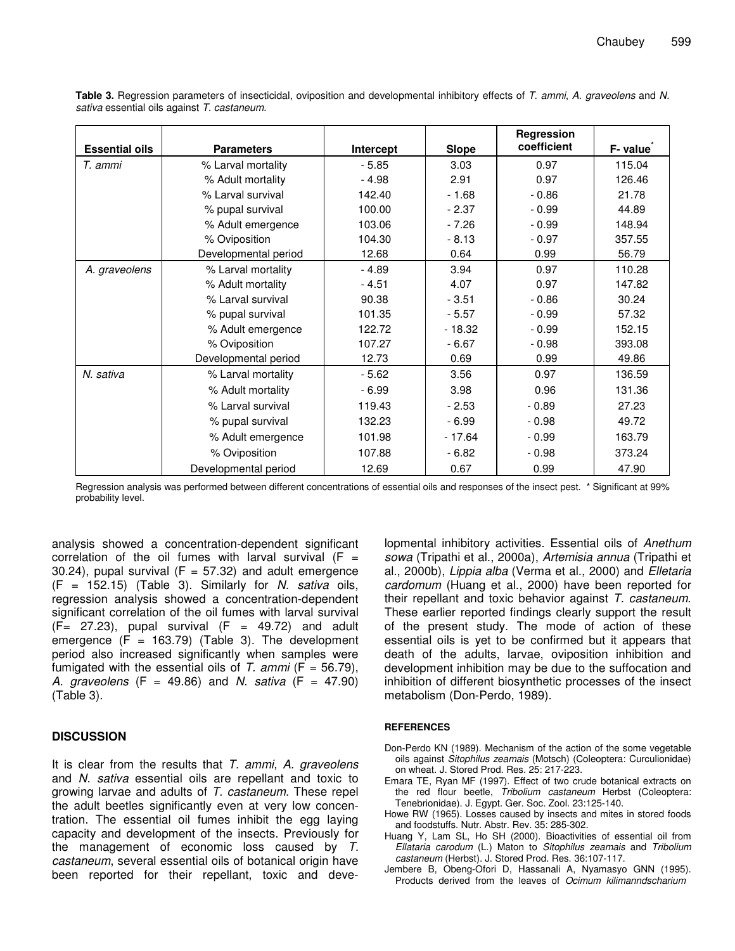|                       |                      |           |              | Regression  |          |
|-----------------------|----------------------|-----------|--------------|-------------|----------|
| <b>Essential oils</b> | <b>Parameters</b>    | Intercept | <b>Slope</b> | coefficient | F- value |
| T. ammi               | % Larval mortality   | $-5.85$   | 3.03         | 0.97        | 115.04   |
|                       | % Adult mortality    | $-4.98$   | 2.91         | 0.97        | 126.46   |
|                       | % Larval survival    | 142.40    | $-1.68$      | $-0.86$     | 21.78    |
|                       | % pupal survival     | 100.00    | $-2.37$      | $-0.99$     | 44.89    |
|                       | % Adult emergence    | 103.06    | $-7.26$      | $-0.99$     | 148.94   |
|                       | % Oviposition        | 104.30    | $-8.13$      | $-0.97$     | 357.55   |
|                       | Developmental period | 12.68     | 0.64         | 0.99        | 56.79    |
| A. graveolens         | % Larval mortality   | $-4.89$   | 3.94         | 0.97        | 110.28   |
|                       | % Adult mortality    | $-4.51$   | 4.07         | 0.97        | 147.82   |
|                       | % Larval survival    | 90.38     | $-3.51$      | $-0.86$     | 30.24    |
|                       | % pupal survival     | 101.35    | $-5.57$      | $-0.99$     | 57.32    |
|                       | % Adult emergence    | 122.72    | $-18.32$     | $-0.99$     | 152.15   |
|                       | % Oviposition        | 107.27    | $-6.67$      | $-0.98$     | 393.08   |
|                       | Developmental period | 12.73     | 0.69         | 0.99        | 49.86    |
| N. sativa             | % Larval mortality   | $-5.62$   | 3.56         | 0.97        | 136.59   |
|                       | % Adult mortality    | $-6.99$   | 3.98         | 0.96        | 131.36   |
|                       | % Larval survival    | 119.43    | $-2.53$      | $-0.89$     | 27.23    |
|                       | % pupal survival     | 132.23    | $-6.99$      | $-0.98$     | 49.72    |
|                       | % Adult emergence    | 101.98    | $-17.64$     | $-0.99$     | 163.79   |
|                       | % Oviposition        | 107.88    | $-6.82$      | $-0.98$     | 373.24   |
|                       | Developmental period | 12.69     | 0.67         | 0.99        | 47.90    |

**Table 3.** Regression parameters of insecticidal, oviposition and developmental inhibitory effects of *T*. *ammi*, *A. graveolens* and *N. sativa* essential oils against *T. castaneum.*

Regression analysis was performed between different concentrations of essential oils and responses of the insect pest. \* Significant at 99% probability level.

analysis showed a concentration-dependent significant correlation of the oil fumes with larval survival  $(F =$ 30.24), pupal survival  $(F = 57.32)$  and adult emergence (F = 152.15) (Table 3). Similarly for *N. sativa* oils, regression analysis showed a concentration-dependent significant correlation of the oil fumes with larval survival  $(F = 27.23)$ , pupal survival  $(F = 49.72)$  and adult emergence  $(F = 163.79)$  (Table 3). The development period also increased significantly when samples were fumigated with the essential oils of  $T$ .  $ammi$  ( $F = 56.79$ ), *A. graveolens* (F = 49.86) and *N. sativa* (F = 47.90) (Table 3).

# **DISCUSSION**

It is clear from the results that *T. ammi*, *A. graveolens* and *N. sativa* essential oils are repellant and toxic to growing larvae and adults of *T. castaneum*. These repel the adult beetles significantly even at very low concentration. The essential oil fumes inhibit the egg laying capacity and development of the insects. Previously for the management of economic loss caused by *T. castaneum*, several essential oils of botanical origin have been reported for their repellant, toxic and developmental inhibitory activities. Essential oils of *Anethum sowa* (Tripathi et al., 2000a), *Artemisia annua* (Tripathi et al., 2000b), *Lippia alba* (Verma et al., 2000) and *Elletaria cardomum* (Huang et al., 2000) have been reported for their repellant and toxic behavior against *T. castaneum*. These earlier reported findings clearly support the result of the present study. The mode of action of these essential oils is yet to be confirmed but it appears that death of the adults, larvae, oviposition inhibition and development inhibition may be due to the suffocation and inhibition of different biosynthetic processes of the insect metabolism (Don-Perdo, 1989).

### **REFERENCES**

- Don-Perdo KN (1989). Mechanism of the action of the some vegetable oils against *Sitophilus zeamais* (Motsch) (Coleoptera: Curculionidae) on wheat. J. Stored Prod. Res. 25: 217-223.
- Emara TE, Ryan MF (1997). Effect of two crude botanical extracts on the red flour beetle, *Tribolium castaneum* Herbst (Coleoptera: Tenebrionidae). J. Egypt. Ger. Soc. Zool. 23:125-140.
- Howe RW (1965). Losses caused by insects and mites in stored foods and foodstuffs. Nutr. Abstr. Rev. 35: 285-302.
- Huang Y, Lam SL, Ho SH (2000). Bioactivities of essential oil from *Ellataria carodum* (L.) Maton to *Sitophilus zeamais* and *Tribolium castaneum* (Herbst). J. Stored Prod. Res. 36:107-117.
- Jembere B, Obeng-Ofori D, Hassanali A, Nyamasyo GNN (1995). Products derived from the leaves of *Ocimum kilimanndscharium*